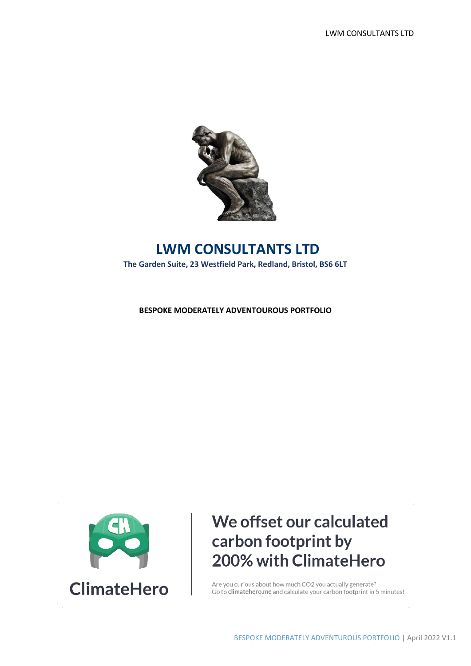

## **LWM CONSULTANTS LTD The Garden Suite, 23 Westfield Park, Redland, Bristol, BS6 6LT**

**BESPOKE MODERATELY ADVENTOUROUS PORTFOLIO**



## We offset our calculated carbon footprint by 200% with ClimateHero

Are you curious about how much CO2 you actually generate? Go to climatehero.me and calculate your carbon footprint in 5 minutes!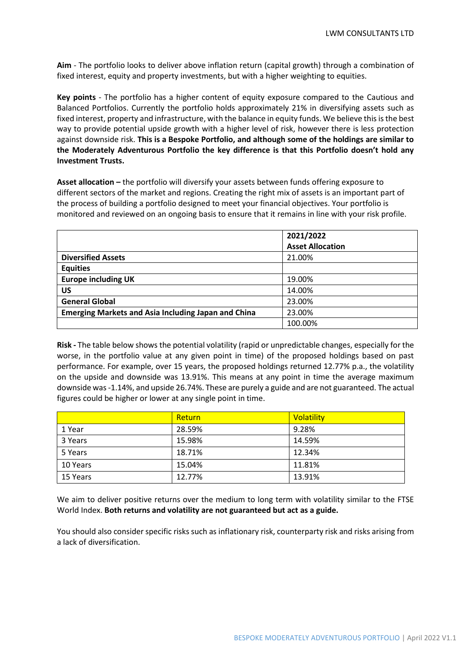**Aim** - The portfolio looks to deliver above inflation return (capital growth) through a combination of fixed interest, equity and property investments, but with a higher weighting to equities.

**Key points** - The portfolio has a higher content of equity exposure compared to the Cautious and Balanced Portfolios. Currently the portfolio holds approximately 21% in diversifying assets such as fixed interest, property and infrastructure, with the balance in equity funds. We believe this is the best way to provide potential upside growth with a higher level of risk, however there is less protection against downside risk. **This is a Bespoke Portfolio, and although some of the holdings are similar to the Moderately Adventurous Portfolio the key difference is that this Portfolio doesn't hold any Investment Trusts.**

**Asset allocation –** the portfolio will diversify your assets between funds offering exposure to different sectors of the market and regions. Creating the right mix of assets is an important part of the process of building a portfolio designed to meet your financial objectives. Your portfolio is monitored and reviewed on an ongoing basis to ensure that it remains in line with your risk profile.

|                                                            | 2021/2022               |
|------------------------------------------------------------|-------------------------|
|                                                            | <b>Asset Allocation</b> |
| <b>Diversified Assets</b>                                  | 21.00%                  |
| <b>Equities</b>                                            |                         |
| <b>Europe including UK</b>                                 | 19.00%                  |
| US                                                         | 14.00%                  |
| <b>General Global</b>                                      | 23.00%                  |
| <b>Emerging Markets and Asia Including Japan and China</b> | 23.00%                  |
|                                                            | 100.00%                 |

**Risk -** The table below shows the potential volatility (rapid or unpredictable changes, especially for the worse, in the portfolio value at any given point in time) of the proposed holdings based on past performance. For example, over 15 years, the proposed holdings returned 12.77% p.a., the volatility on the upside and downside was 13.91%. This means at any point in time the average maximum downside was -1.14%, and upside 26.74%. These are purely a guide and are not guaranteed. The actual figures could be higher or lower at any single point in time.

|          | Return | Volatility |
|----------|--------|------------|
| 1 Year   | 28.59% | 9.28%      |
| 3 Years  | 15.98% | 14.59%     |
| 5 Years  | 18.71% | 12.34%     |
| 10 Years | 15.04% | 11.81%     |
| 15 Years | 12.77% | 13.91%     |

We aim to deliver positive returns over the medium to long term with volatility similar to the FTSE World Index. **Both returns and volatility are not guaranteed but act as a guide.** 

You should also consider specific risks such as inflationary risk, counterparty risk and risks arising from a lack of diversification.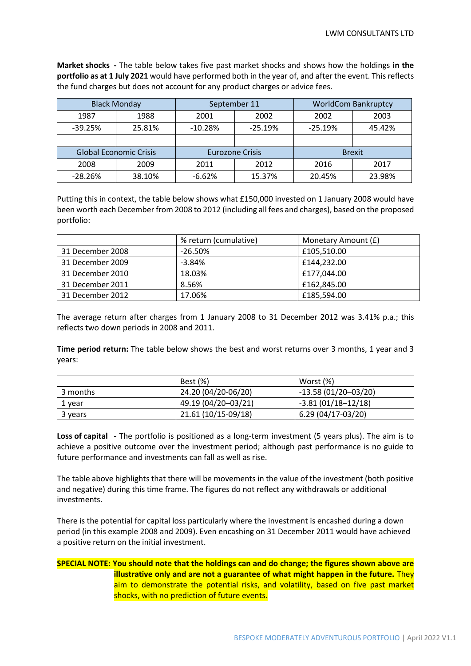**Market shocks -** The table below takes five past market shocks and shows how the holdings **in the portfolio as at 1 July 2021** would have performed both in the year of, and after the event. This reflects the fund charges but does not account for any product charges or advice fees.

|                               | <b>Black Monday</b> | September 11           |           |               | <b>WorldCom Bankruptcy</b> |
|-------------------------------|---------------------|------------------------|-----------|---------------|----------------------------|
| 1987                          | 1988                | 2001                   | 2002      | 2002          | 2003                       |
| $-39.25%$                     | 25.81%              | $-10.28%$              | $-25.19%$ | $-25.19%$     | 45.42%                     |
|                               |                     |                        |           |               |                            |
| <b>Global Economic Crisis</b> |                     | <b>Eurozone Crisis</b> |           | <b>Brexit</b> |                            |
| 2008                          | 2009                | 2011                   | 2012      | 2016          | 2017                       |
| $-28.26%$                     | 38.10%              | $-6.62%$               | 15.37%    | 20.45%        | 23.98%                     |

Putting this in context, the table below shows what £150,000 invested on 1 January 2008 would have been worth each December from 2008 to 2012 (including all fees and charges), based on the proposed portfolio:

|                  | % return (cumulative) | Monetary Amount (£) |
|------------------|-----------------------|---------------------|
| 31 December 2008 | $-26.50\%$            | £105,510.00         |
| 31 December 2009 | $-3.84%$              | £144,232.00         |
| 31 December 2010 | 18.03%                | £177,044.00         |
| 31 December 2011 | 8.56%                 | £162,845.00         |
| 31 December 2012 | 17.06%                | £185,594.00         |

The average return after charges from 1 January 2008 to 31 December 2012 was 3.41% p.a.; this reflects two down periods in 2008 and 2011.

**Time period return:** The table below shows the best and worst returns over 3 months, 1 year and 3 years:

|          | <b>Best</b> (%)     | Worst (%)             |
|----------|---------------------|-----------------------|
| 3 months | 24.20 (04/20-06/20) | $-13.58(01/20-03/20)$ |
| 1 year   | 49.19 (04/20-03/21) | $-3.81(01/18-12/18)$  |
| 3 years  | 21.61 (10/15-09/18) | 6.29 (04/17-03/20)    |

**Loss of capital -** The portfolio is positioned as a long-term investment (5 years plus). The aim is to achieve a positive outcome over the investment period; although past performance is no guide to future performance and investments can fall as well as rise.

The table above highlights that there will be movements in the value of the investment (both positive and negative) during this time frame. The figures do not reflect any withdrawals or additional investments.

There is the potential for capital loss particularly where the investment is encashed during a down period (in this example 2008 and 2009). Even encashing on 31 December 2011 would have achieved a positive return on the initial investment.

## **SPECIAL NOTE: You should note that the holdings can and do change; the figures shown above are illustrative only and are not a guarantee of what might happen in the future.** They aim to demonstrate the potential risks, and volatility, based on five past market shocks, with no prediction of future events.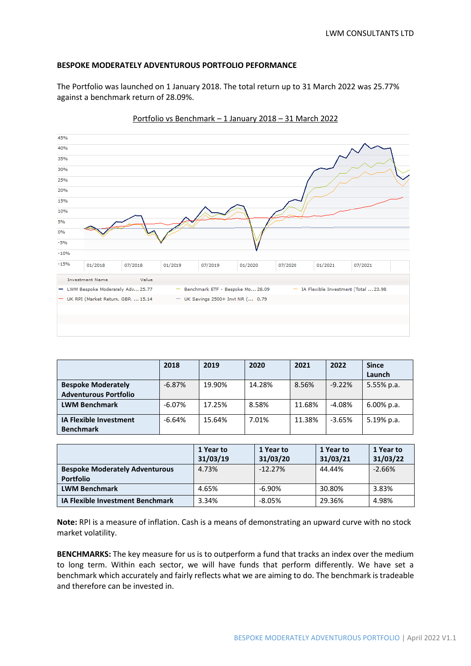## **BESPOKE MODERATELY ADVENTUROUS PORTFOLIO PEFORMANCE**

The Portfolio was launched on 1 January 2018. The total return up to 31 March 2022 was 25.77% against a benchmark return of 28.09%.



Portfolio vs Benchmark – 1 January 2018 – 31 March 2022

|                               | 2018     | 2019   | 2020   | 2021   | 2022     | <b>Since</b>  |
|-------------------------------|----------|--------|--------|--------|----------|---------------|
|                               |          |        |        |        |          | Launch        |
| <b>Bespoke Moderately</b>     | $-6.87%$ | 19.90% | 14.28% | 8.56%  | $-9.22%$ | 5.55% p.a.    |
| <b>Adventurous Portfolio</b>  |          |        |        |        |          |               |
| <b>LWM Benchmark</b>          | $-6.07%$ | 17.25% | 8.58%  | 11.68% | -4.08%   | $6.00\%$ p.a. |
| <b>IA Flexible Investment</b> | $-6.64%$ | 15.64% | 7.01%  | 11.38% | $-3.65%$ | 5.19% p.a.    |
| <b>Benchmark</b>              |          |        |        |        |          |               |

|                                                           | 1 Year to<br>31/03/19 | 1 Year to<br>31/03/20 | 1 Year to<br>31/03/21 | 1 Year to<br>31/03/22 |
|-----------------------------------------------------------|-----------------------|-----------------------|-----------------------|-----------------------|
| <b>Bespoke Moderately Adventurous</b><br><b>Portfolio</b> | 4.73%                 | $-12.27\%$            | 44.44%                | $-2.66%$              |
| <b>LWM Benchmark</b>                                      | 4.65%                 | $-6.90%$              | 30.80%                | 3.83%                 |
| <b>IA Flexible Investment Benchmark</b>                   | 3.34%                 | $-8.05%$              | 29.36%                | 4.98%                 |

**Note:** RPI is a measure of inflation. Cash is a means of demonstrating an upward curve with no stock market volatility.

**BENCHMARKS:** The key measure for us is to outperform a fund that tracks an index over the medium to long term. Within each sector, we will have funds that perform differently. We have set a benchmark which accurately and fairly reflects what we are aiming to do. The benchmark is tradeable and therefore can be invested in.